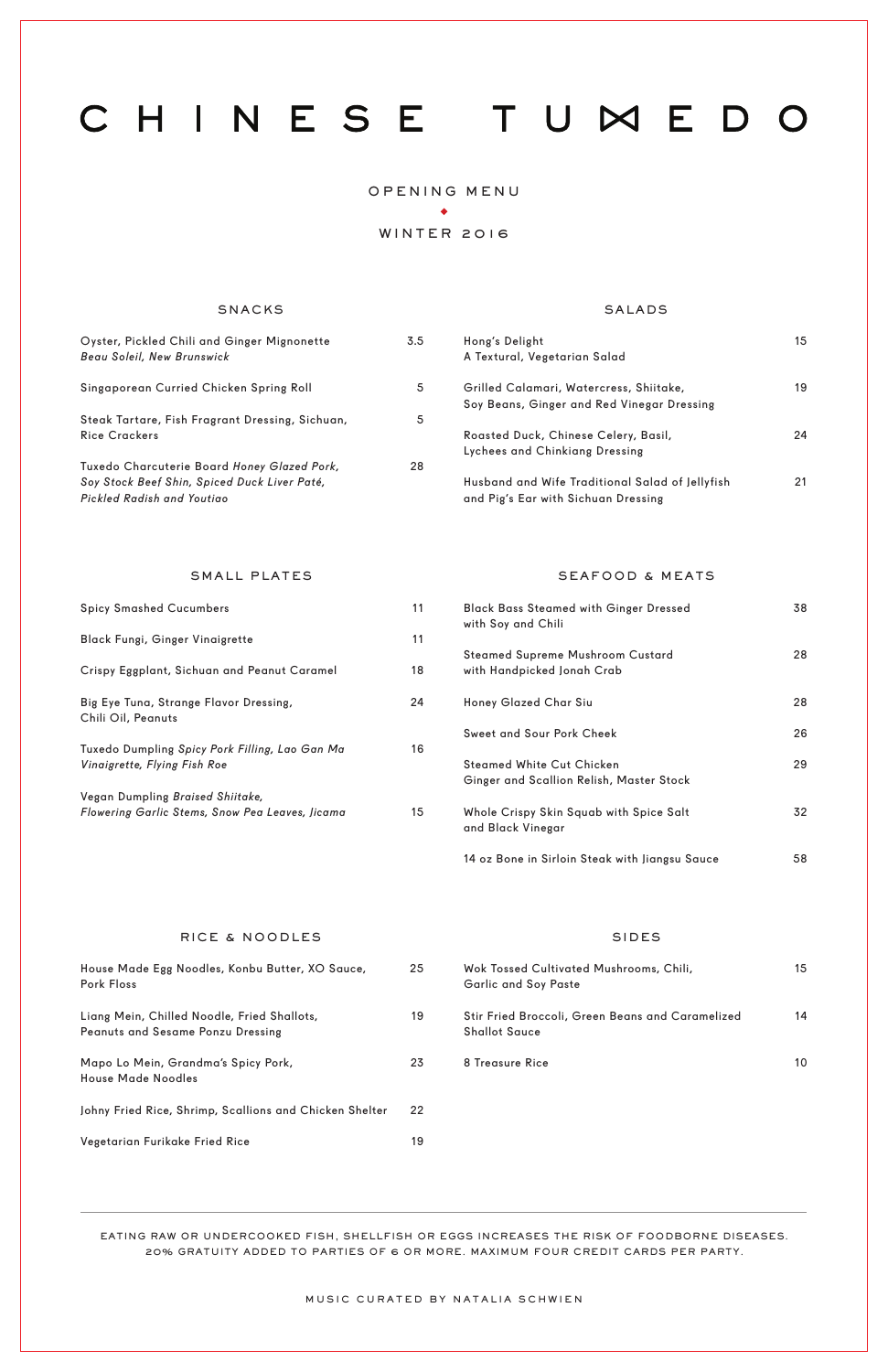# CHINESE TUMEDO

### OPENING MENU  $\blacklozenge$

### WINTER 2016

### SNACKS SALADS

Wok Tossed Cultivated Mushrooms, Chili, Garlic and Soy Paste

House Made Egg Noodles, Konbu Butter, XO Sauce, Pork Floss

| Oyster, Pickled Chili and Ginger Mignonette<br>Beau Soleil, New Brunswick                                                 | 3.5 |
|---------------------------------------------------------------------------------------------------------------------------|-----|
| Singaporean Curried Chicken Spring Roll                                                                                   | 5   |
| Steak Tartare, Fish Fragrant Dressing, Sichuan,<br><b>Rice Crackers</b>                                                   | 5   |
| Tuxedo Charcuterie Board Honey Glazed Pork,<br>Soy Stock Beef Shin, Spiced Duck Liver Paté,<br>Pickled Radish and Youtiao | 28  |

| Hong's Delight                                  | 15 |
|-------------------------------------------------|----|
| A Textural, Vegetarian Salad                    |    |
| Grilled Calamari, Watercress, Shiitake,         | 19 |
| Soy Beans, Ginger and Red Vinegar Dressing      |    |
| Roasted Duck, Chinese Celery, Basil,            | 24 |
| Lychees and Chinkiang Dressing                  |    |
| Husband and Wife Traditional Salad of Jellyfish | 21 |
| and Pig's Ear with Sichuan Dressing             |    |

### EATING RAW OR UNDERCOOKED FISH, SHELLFISH OR EGGS INCREASES THE RISK OF FOODBORNE DISEASES. 20% GRATUITY ADDED TO PARTIES OF 6 OR MORE. MAXIMUM FOUR CREDIT CARDS PER PARTY.

| Liang Mein, Chilled Noodle, Fried Shallots,<br><b>Peanuts and Sesame Ponzu Dressing</b> | 19  | Stir Fried Broccoli, Green Beans and Caramelized<br><b>Shallot Sauce</b> | 14 |
|-----------------------------------------------------------------------------------------|-----|--------------------------------------------------------------------------|----|
| Mapo Lo Mein, Grandma's Spicy Pork,<br><b>House Made Noodles</b>                        | 23  | 8 Treasure Rice                                                          | 10 |
| Johny Fried Rice, Shrimp, Scallions and Chicken Shelter                                 | -22 |                                                                          |    |
| Vegetarian Furikake Fried Rice                                                          | 19  |                                                                          |    |
|                                                                                         |     |                                                                          |    |

MUSIC CURATED BY NATALIA SCHWIEN

| <b>Black Bass Steamed with Ginger Dressed</b><br>with Soy and Chili          | 38 |
|------------------------------------------------------------------------------|----|
| <b>Steamed Supreme Mushroom Custard</b><br>with Handpicked Jonah Crab        | 28 |
| Honey Glazed Char Siu                                                        | 28 |
| Sweet and Sour Pork Cheek                                                    | 26 |
| <b>Steamed White Cut Chicken</b><br>Ginger and Scallion Relish, Master Stock | 29 |
| Whole Crispy Skin Squab with Spice Salt<br>and Black Vinegar                 | 32 |
| 14 oz Bone in Sirloin Steak with Jiangsu Sauce                               | 58 |

### RICE & NOODLES SIDES

15

25

### 11 11 18 24 16 15 Spicy Smashed Cucumbers Black Fungi, Ginger Vinaigrette Crispy Eggplant, Sichuan and Peanut Caramel Big Eye Tuna, Strange Flavor Dressing, Chili Oil, Peanuts Tuxedo Dumpling *Spicy Pork Filling, Lao Gan Ma Vinaigrette, Flying Fish Roe* Vegan Dumpling *Braised Shiitake, Flowering Garlic Stems, Snow Pea Leaves, Jicama*

### SMALL PLATES SEAFOOD & MEATS